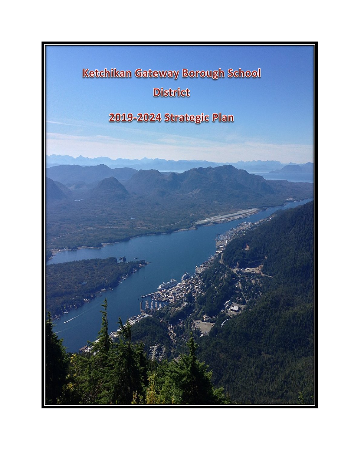

**District** 

# 2019-2024 Strategic Plan

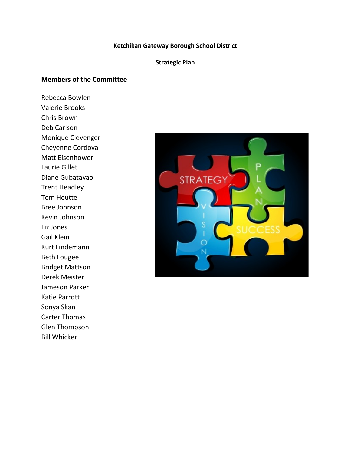#### **Ketchikan Gateway Borough School District**

#### **Strategic Plan**

#### **Members of the Committee**

Rebecca Bowlen Valerie Brooks Chris Brown Deb Carlson Monique Clevenger Cheyenne Cordova Matt Eisenhower Laurie Gillet Diane Gubatayao Trent Headley Tom Heutte Bree Johnson Kevin Johnson Liz Jones Gail Klein Kurt Lindemann Beth Lougee Bridget Mattson Derek Meister Jameson Parker Katie Parrott Sonya Skan Carter Thomas Glen Thompson Bill Whicker

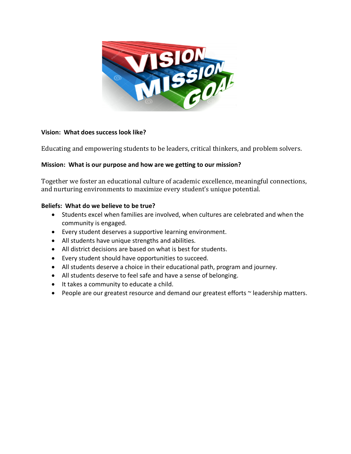

#### **Vision: What does success look like?**

Educating and empowering students to be leaders, critical thinkers, and problem solvers.

#### **Mission: What is our purpose and how are we getting to our mission?**

Together we foster an educational culture of academic excellence, meaningful connections, and nurturing environments to maximize every student's unique potential.

#### **Beliefs: What do we believe to be true?**

- Students excel when families are involved, when cultures are celebrated and when the community is engaged.
- Every student deserves a supportive learning environment.
- All students have unique strengths and abilities.
- All district decisions are based on what is best for students.
- Every student should have opportunities to succeed.
- All students deserve a choice in their educational path, program and journey.
- All students deserve to feel safe and have a sense of belonging.
- It takes a community to educate a child.
- People are our greatest resource and demand our greatest efforts ~ leadership matters.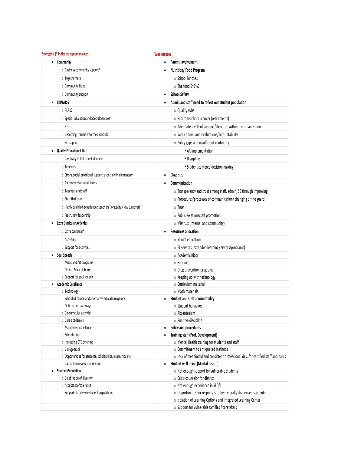| Strengths: (* indicates repeat answers)                            | Weaknesses                                                                          |  |  |
|--------------------------------------------------------------------|-------------------------------------------------------------------------------------|--|--|
| • Community                                                        | <b>Parent Involvement</b><br>٠                                                      |  |  |
| O Business community support*                                      | Nutrition/Food Program<br>٠                                                         |  |  |
| o Togetherness                                                     | o School lunches                                                                    |  |  |
| o Community Bond                                                   | o The food \$^9%\$                                                                  |  |  |
| o Community support                                                | <b>School Safety</b><br>٠                                                           |  |  |
| • RTI/MTSS                                                         | Admin and staff need to reflect our student population<br>٠                         |  |  |
| o PEAKS                                                            | o Quality subs                                                                      |  |  |
| o Special Education and Special Services                           | o Future teacher turnover (retirements)                                             |  |  |
| $\circ$ RTI                                                        | o Adequate levels of support/structure within the organization                      |  |  |
| o Becoming Trauma Informed Schools                                 | o Weak admin and evaluations/accountability                                         |  |  |
| o ELL support                                                      | o Policy gaps and insufficient continuity                                           |  |  |
| <b>Quality Educational Staff</b><br>٠                              | AR implementation                                                                   |  |  |
| o Creativity to help meet all needs                                | · Discipline                                                                        |  |  |
| o Teachers                                                         | <b>Student centered decision making</b>                                             |  |  |
| o Strong social emotional support, especially in elementary        | Class size<br>٠                                                                     |  |  |
| o Awesome staff at all levels                                      | Communication<br>٠                                                                  |  |  |
| o Teachers and staff                                               | o Transparency and trust among staff, admin, SB through improving                   |  |  |
| o Staff that care                                                  |                                                                                     |  |  |
|                                                                    | o Procedures/processes of communication/ changing of the guard                      |  |  |
| o Highly qualified experienced teachers (longevity / low turnover) | o Trust                                                                             |  |  |
| o Fresh, new leadership                                            | o Public Relations/self promotion                                                   |  |  |
| <b>Extra Curricular Activities</b><br>$\bullet$                    | o Mistrust (internal and community)                                                 |  |  |
| o Extra curricular*                                                | <b>Resources allocation</b><br>٠                                                    |  |  |
| o Activities                                                       | ○ Sexual education                                                                  |  |  |
| o Support for activities                                           | o EL services (extended learning services/programs)                                 |  |  |
| Soul Speech<br>٠                                                   | o Academic Rigor                                                                    |  |  |
| o Music and Art programs                                           | o Funding                                                                           |  |  |
| o PE, Art, Music, Library                                          | o Drug prevention programs                                                          |  |  |
| o Support for soul speech<br><b>Academic Excellence</b><br>٠       | o Keeping up with technology<br>o Curriculum material                               |  |  |
| o Technology                                                       | o Math materials                                                                    |  |  |
| o School of choice and alternative education options               | Student and staff accountability<br>٠                                               |  |  |
| $\circ$ Options and pathways                                       | o Student behaviors                                                                 |  |  |
| o Co-curricular activities                                         | o Absenteeism                                                                       |  |  |
| o Core academics                                                   | o Punitive discipline                                                               |  |  |
| o Maintained excellence                                            | Policy and procedures<br>$\bullet$                                                  |  |  |
| o School choice                                                    | <b>Training staff (Prof. Development)</b><br>٠                                      |  |  |
| o Increasing CTE offerings                                         | o Mental Health training for students and staff                                     |  |  |
| o College track                                                    | o Commitment to antiquated methods                                                  |  |  |
| o Opportunities for students; scholarships, internships etc.       | o Lack of meaningful and consistent professional dev. for certified staff and paras |  |  |
| $\circ$ Curriculum review and revision                             | Student well being (Mental health)<br>$\bullet$                                     |  |  |
| <b>Student Population</b><br>٠                                     | o Not enough support for vulnerable students                                        |  |  |
| o Celebration of diversity                                         | o Crisis counselor for district                                                     |  |  |
| o Acceptance/tolerance                                             | o Not enough experience in SED/L                                                    |  |  |
| o Supports for diverse student populations                         | o Opportunities for responses to behaviorally challenged students                   |  |  |
|                                                                    | o Isolation of Learning Options and Integrated Learning Center                      |  |  |
|                                                                    | o Support for vulnerable families / caretakers                                      |  |  |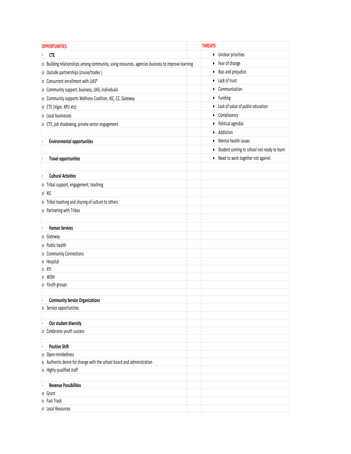| <b>OPPORTUNITIES</b>                                                                                | <b>THREATS</b> |                                             |
|-----------------------------------------------------------------------------------------------------|----------------|---------------------------------------------|
| <b>CTE</b>                                                                                          |                | • Unclear priorities                        |
| Building relationships among community, using resources, agencies business to improve learning<br>0 |                | • Fear of change                            |
| o Outside partnerships (cruise/trades)                                                              |                | • Bias and prejudice                        |
| Concurrent enrollment with UAS*<br>0                                                                |                | • Lack of trust                             |
| Community support; business, UAS, individuals<br>0                                                  |                | • Communication                             |
| Community supports Wellness Coalition, KIC, CC, Gateway<br>0                                        |                | • Funding                                   |
| o CTE (Vigor, KPU etc)                                                                              |                | • Lack of value of public education         |
| o Local businesses                                                                                  | $\bullet$      | Complacency                                 |
| o CTE, job shadowing, private sector engagement                                                     |                | • Political agendas                         |
|                                                                                                     | $\bullet$      | Addiction                                   |
| <b>Environmental opportunities</b>                                                                  |                | • Mental health issues                      |
|                                                                                                     | $\bullet$      | Student coming to school not ready to learn |
| <b>Travel opportunities</b>                                                                         |                | • Need to work together not against         |
|                                                                                                     |                |                                             |
| <b>Cultural Activities</b>                                                                          |                |                                             |
| o Tribal support, engagement, teaching                                                              |                |                                             |
| o KIC                                                                                               |                |                                             |
| o Tribal teaching and sharing of culture to others                                                  |                |                                             |
| o Partnering with Tribes                                                                            |                |                                             |
|                                                                                                     |                |                                             |
| <b>Human Services</b>                                                                               |                |                                             |
| Gateway<br>0                                                                                        |                |                                             |
| Public health<br>0                                                                                  |                |                                             |
| <b>Community Connections</b><br>0                                                                   |                |                                             |
| o Hospital                                                                                          |                |                                             |
| KYI<br>0                                                                                            |                |                                             |
| <b>WISH</b><br>0                                                                                    |                |                                             |
| o Youth groups                                                                                      |                |                                             |
|                                                                                                     |                |                                             |
| <b>Community Service Organizations</b>                                                              |                |                                             |
| Service opportunities<br>0                                                                          |                |                                             |
| Our student diversity                                                                               |                |                                             |
| Celebrates youth success<br>0                                                                       |                |                                             |
|                                                                                                     |                |                                             |
| <b>Positive Shift</b>                                                                               |                |                                             |
| Open-mindedness<br>0                                                                                |                |                                             |
| Authentic desire for change with the school board and administration<br>0                           |                |                                             |
| Highly qualified staff<br>0                                                                         |                |                                             |
|                                                                                                     |                |                                             |
| <b>Revenue Possibilities</b>                                                                        |                |                                             |
| Grant<br>0<br>Fast Track<br>0                                                                       |                |                                             |
| o Local Resources                                                                                   |                |                                             |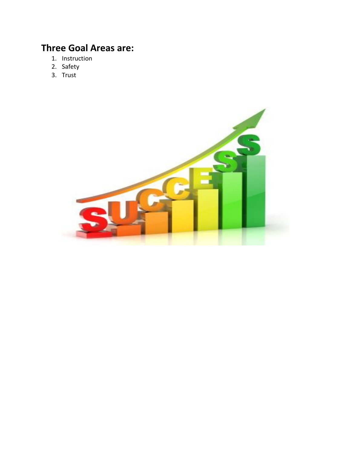## **Three Goal Areas are:**

- 1. Instruction
- 2. Safety
- 3. Trust

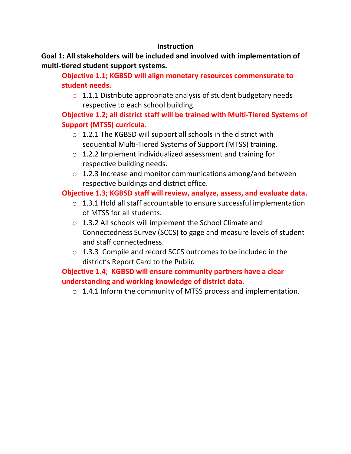### **Instruction**

**Goal 1: All stakeholders will be included and involved with implementation of multi-tiered student support systems.**

**Objective 1.1; KGBSD will align monetary resources commensurate to student needs.**

 $\circ$  1.1.1 Distribute appropriate analysis of student budgetary needs respective to each school building.

**Objective 1.2; all district staff will be trained with Multi-Tiered Systems of Support (MTSS) curricula.**

- $\circ$  1.2.1 The KGBSD will support all schools in the district with sequential Multi-Tiered Systems of Support (MTSS) training.
- o 1.2.2 Implement individualized assessment and training for respective building needs.
- o 1.2.3 Increase and monitor communications among/and between respective buildings and district office.

## **Objective 1.3; KGBSD staff will review, analyze, assess, and evaluate data.**

- o 1.3.1 Hold all staff accountable to ensure successful implementation of MTSS for all students.
- o 1.3.2 All schools will implement the School Climate and Connectedness Survey (SCCS) to gage and measure levels of student and staff connectedness.
- o 1.3.3 Compile and record SCCS outcomes to be included in the district's Report Card to the Public

## **Objective 1.4**; **KGBSD will ensure community partners have a clear understanding and working knowledge of district data.**

o 1.4.1 Inform the community of MTSS process and implementation.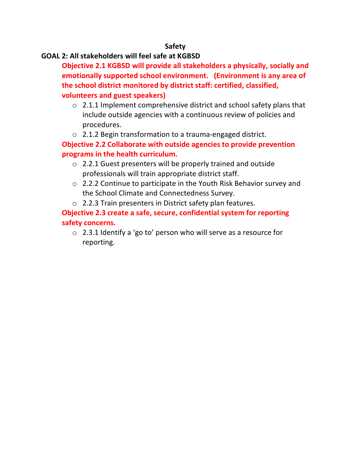#### **Safety**

#### **GOAL 2: All stakeholders will feel safe at KGBSD**

**Objective 2.1 KGBSD will provide all stakeholders a physically, socially and emotionally supported school environment. (Environment is any area of the school district monitored by district staff: certified, classified, volunteers and guest speakers)** 

- $\circ$  2.1.1 Implement comprehensive district and school safety plans that include outside agencies with a continuous review of policies and procedures.
- o 2.1.2 Begin transformation to a trauma-engaged district.

## **Objective 2.2 Collaborate with outside agencies to provide prevention programs in the health curriculum.**

- o 2.2.1 Guest presenters will be properly trained and outside professionals will train appropriate district staff.
- o 2.2.2 Continue to participate in the Youth Risk Behavior survey and the School Climate and Connectedness Survey.
- o 2.2.3 Train presenters in District safety plan features.

## **Objective 2.3 create a safe, secure, confidential system for reporting safety concerns.**

o 2.3.1 Identify a 'go to' person who will serve as a resource for reporting.